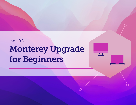# Monterey Upgrade for Beginners macOS

 $\overline{I}$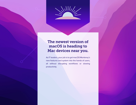

### The newest version of macOS is heading to Mac devices near you.

As IT leaders, your job is to get macOS Monterey's new features and system into the hands of users, all without disrupting workflows or slowing productivity.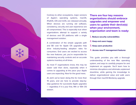Contrary to other ecosystems, major versions of Apple's operating systems, macOS, iPadOS, iOS and tvOS, are released annually. When devices are running old software, consistency, security and user experience are all compromised. This is especially true when organizations attempt to support a variety of devices and OS platforms with a single management solution.

A combination of the simple upgrade path and \$0 cost for Apple OS upgrades help drive industry-leading adoption rates for consumers. End users are excited to access the new features; yet, you're responsible for maintaining security controls and an accurate systems inventory at all times.

As most IT organizations know, this may be easier said than done, especially when it comes to upgrading at the pace your Apple users are expecting. Now for the good news.

At Jamf, we've been doing this for more than 19 years, and are here to provide step-bystep guidance for successful Apple upgrades — regardless if it is your first, fifth or 10th OS season.

**There are four key reasons organizations should embrace upgrades and empower end users to update their device(s) when your environment, organization and team is ready:**

- 1. **Reduce security vulnerabilities**
- 2. **Keep end users happy**
- 3. **Keep users productive**
- 4. **Access new IT management features**

This guide provides you with a thorough understanding of the new Mac operating system, and ways to carefully prepare for and implement an upgrade. You'll learn how to minimize disruptions and eliminate unplanned downtime, while gaining the knowledge to deliver organizational value and walk users through their macOS Monterey upgrade.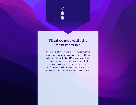### What comes with the new macOS?

There are a lot of new and great features involved with this operating system. The workflows between iPhone, iPad and Mac have never been so seamless and are continuing to get better. If you have some time, it is worth viewing the full list of new **[macOS Monterey](https://www.apple.com/macos/monterey-preview/features/)** features, but here are some of our favorites that we think matter to you.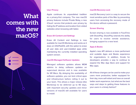# What comes with the new macOS?



### **User Privacy**

Apple continues its unparalleled tradition as a privacy-first company. The new macOS privacy features include Private Relay, a new iCloud+ service that protects user privacy by hiding the IP address and location from visited websites when browsing with Safari.

#### **Erase All Content and Settings**

Erase All Content and Settings is now available for macOS Monterey and works as it does on iOS/iPadOS, with the option to erase all user data and user-installed apps while maintaining the currently installed operating system version.

### **macOS Managed Software Updates**

Managed software updates allows MDM admins to delay software updates on supervised devices and is now available for M1 Macs. By delaying the availability of software updates, you can test critical apps and infrastructure before rolling it out to your team. This allows a major release (like Monterey) to be deferred up to 90 days, with important security updates and minor versions of macOS still available for users to install.

#### **macOS Recovery Lock**

macOS Recovery Lock is a way to secure the most sensitive parts of the Mac by preventing users from accessing the recovery mode of the device without a password.

#### **Screen Sharing**

Screen sharing is now available in FaceTime with SharePlay. SharePlay extends the ability for users to receive remote assistance, bringing support to a new level.

### **Apps & Books**

Apple's new API delivers a more performant and scalable Apps and Books experience for organizations. In addition, Xcode for developers provides a way to continue to expand the Mac App Store and support for Mac apps.

All of these changes can be used to make your users more productive, better equipped for their day, more self-reliant and have an overall better work experience, but what are the best ways and steps to getting these features to your users in a timely fashion?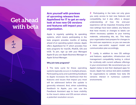### Get ahead with beta

 $\frac{1}{s^{TEP}}$ *STEP* **Arm yourself with previews of upcoming releases from AppleSeed for IT to get an early look at how new OS versions and features will impact your organization.**

Apple is regularly updating its operating systems, which means participating in the beta program provides months of testing ahead of an operating system release. Apple offers AppleSeed for IT which provides free beta programs for macOS, iPadOS, iOS and tvOS. To join, sign up with your Managed Apple ID you use Apple Business Manager or Apple School Manager.

#### **Why join beta programs?**

1 The beta cycle for these operating systems typically occurs in multiple phases. Participating early and submitting feedback to Apple increases the likelihood that the features and issues that impact you most will be addressed before the update is generally released. And, when submitting feedback to Apple, you can use the Feedback Assistant app to have visibility to the issue's status and OS version where a potential resolution occurs.

**2** Participating in the beta not only gives you early access to test new features and compatibility, but it also offers a deeper understanding of how the end-user experience will be impacted. Knowing which new settings have been added, any features that have moved, or changes to labels can inform necessary updates to your training materials, onboarding kits, etc. This helps your organization best prepare for changes to the end-user experience, so you can execute a more user-centric support model and communication plan accordingly.

3Lastly, in addition to new OS settings and features, application, infrastructure and management compatibility testing is critical for continuity with current software offerings in your environment. We recommend you run Apple's betas to test their deployed apps for issues. Apple has various test plans available for organizations to validate how beta OS versions interact in numerous customer environments.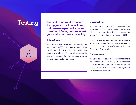# Testing

 $\sum_{S^{TEP}}$ *STEP*

**For best results and to ensure the upgrade won't impact any unforeseen aspects of your end users' workflows, be sure to test your entire tech stack including:** 

### 1 **Infrastructure**

Includes anything outside of your application stack, such as VPN or testing printer drivers (which should always be tested with new operating systems). Testing infrastructure is less of a concern for organizations moving toward cloud-hosting services.

### 2 **Applications**

Includes both web and non-web-based applications. If you don't have time to test all apps, prioritize based on an application vendor's statements related to compatibility.

macOS Monterey includes changes to legacy kernel extensions. Consult your vendor(s) to see if they support Apple's modern System Extensions framework.

### 3 **Management**

Includes device deployment and management solutions (MDM, EMM, UEM, etc.). Check that your device management solution offers the ability to test new restrictions, management capabilities and features.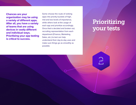**Chances are your organization may be using a variety of different apps. After all, you have a variety of teams that are using devices in vastly different and individual ways. Prioritizing your app testing is critical to success.** 

Some choose the route of ranking apps into priority buckets of high, mid and low levels of importance, while others look at the usage of each app and prioritize accordingly. Once that is decided and broken out, recruiting representation from each department (Finance, Marketing, Sales, etc.) to test can help understand their day-to-day uses and make sure things go as smoothly as possible.

# Prioritizing your tests

 $\sum_{\text{STEP}}$ *STEP*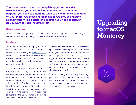**There are several ways to accomplish upgrades on a Mac. However, once you have decided to move forward with an upgrade, you need to determine what to do with the existing data on your Macs. Are these shared in a lab? Are they assigned to a specific user? The bottom-line question you need to answer do you want to keep the data intact?**

### Ready to upgrade?

The most common upgrade path for macOS is an in-place upgrade. An in-place upgrade involves installing the operating system while keeping user data intact.

#### **Keep Data**

There are 3 methods to deploy the new macOS for your users with the data intact. In options 1 and 3, using the [caching service](https://support.apple.com/guide/mac-help/mchl9388ba1b/mac) within macOS will help reduce network traffic. Consider using this service on your network. All of these options could be considered as you move forward.

1Supervised Mac or those enrolled via Apple Business Manager or Apple School Manager can be upgraded by sending an MDM command to download and install updates. When this command is ran as a Mass Action, IT admins can choose to include updates to major OS versions like macOS Monterey. For computers with Apple silicon, no user interaction is required to authorize the update when a Bootstrap Token is escrowed with Jamf Pro.

2 Download the "Install macOS Monterey. app" directly from Apple for deployment from your preferred distribution points. Once deployed to devices, a policy can be triggered to either run automatically, or users can start the install themselves from Jamf Self Service. These methods can reduce the time to install for end users, as the update is already downloaded.

**3** Alternatively, you can simply encourage your users to download and run the "Install macOS Monterey.app" from the Mac App Store, or allow them to download from System Preferences to install.

# Upgrading to macOS **Monterey**

 $\sum_{STEP}$ *STEP*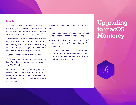#### **Erase Data**

Since you have decided to erase any data on the existing Mac, you can utilize two methods to complete your upgrades. macOS requires an internet connection to upgrade macOS.

*--eraseinstall* option is a command to install macOS and erase the hard drive at the same time. Simply download the macOS Monterey installer and upload via your MDM solution. Deploy macOS Monterey via policies:

1) Stage the installer on client Mac and

2) Runstartosinstall with the --eraseinstall flag. Start install automatically or place in Jamf Self Service.

Once devices are running Monterey, the "Wipe Device" MDM command will be able to do an Erase All Content and Settings workflow for any T2 Macs or computers with Apple sillicon, as described on page.

Additional considerations with Apple silicon are:

- User credentials are required to use startoinstall and macOS installer apps
- Select "Include major updates, if available" option with a Jamf Pro Mass Action MDM command
- No user interaction is required when a Bootstrap Token is escrowed to Jamf Pro. macOS will request the token to authorize software updates

## Upgrading to macOS **Monterey**

 $\sum_{STEP}$ *STEP*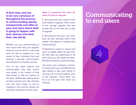**A final note, and one to be very conscious of throughout this process, is communicating openly, transparently and often to your end users about what is going to happen with their devices and what their role will be.**

Whether you are communicating to them about when they can upgrade, what the process will be, or why they won't be able to upgrade for a set period of time, including them and opening a two-way communication line will lead to a smoother process.

One of the major aspects that communication may help control, very simply, is the number of help desk tickets or calls you receive on this topic. Additionally, getting ahead of these requests and calls will keep your end users happy, as well as engaged in the process should you need their assistance at some point.

**Steps to preparing end users for when it is time to upgrade**

1Not every end user is aware of the time it takes to upgrade. Inform users of the average upgrade time and provide tips on the best time of day to upgrade.

2 Recommend that your end users back up their device(s) before they update. This applies to localized and iCloud backups.

**3** Implement a policy to require end users to update within 30 days from the start date you determined or let them know you will update for them. PCI DSS compliance requires 30 days.

Use email, your company's intranet, or if using Jamf, your Jamf Self Service app catalog, to give users plenty of warning and recommendations prior to OS upgrades. They'll thank you for it (or if all goes well, they'll say nothing.)

### Communicating to end users

 $\frac{\sqrt{1-\frac{1}{2}}}{\sqrt{1-\frac{1}{2}}}$ *STEP*